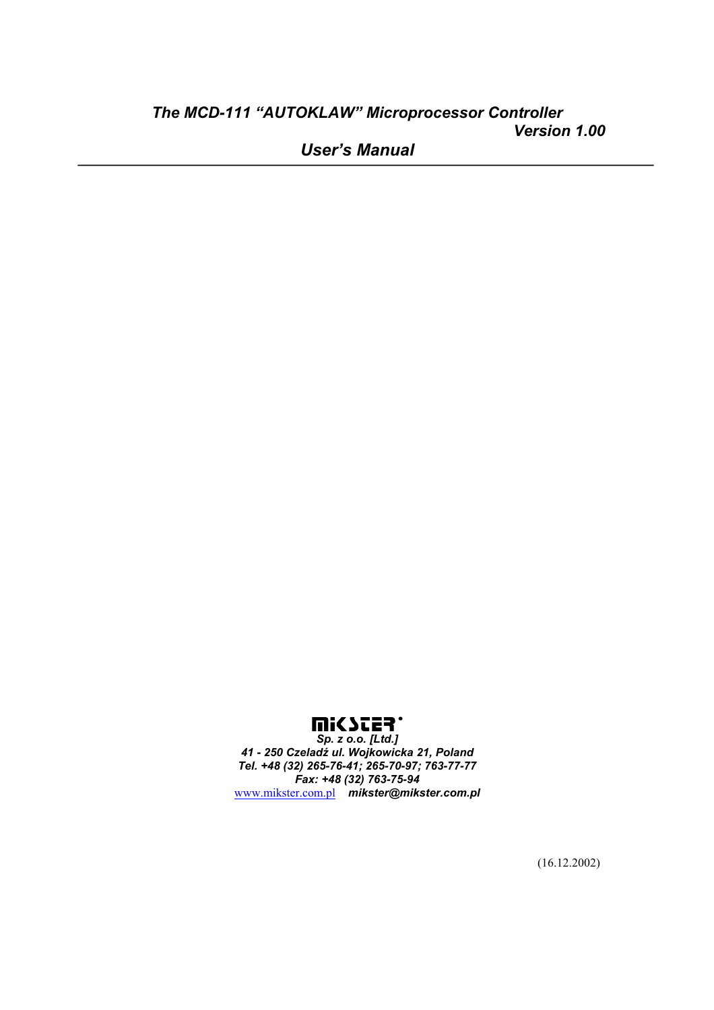# *The MCD-111 "AUTOKLAW" Microprocessor Controller Version 1.00*

*User's Manual* 



*Sp. z o.o. [Ltd.] 41 - 250 Czeladź ul. Wojkowicka 21, Poland Tel. +48 (32) 265-76-41; 265-70-97; 763-77-77 Fax: +48 (32) 763-75-94*  www.mikster.com.pl *mikster@mikster.com.pl*

(16.12.2002)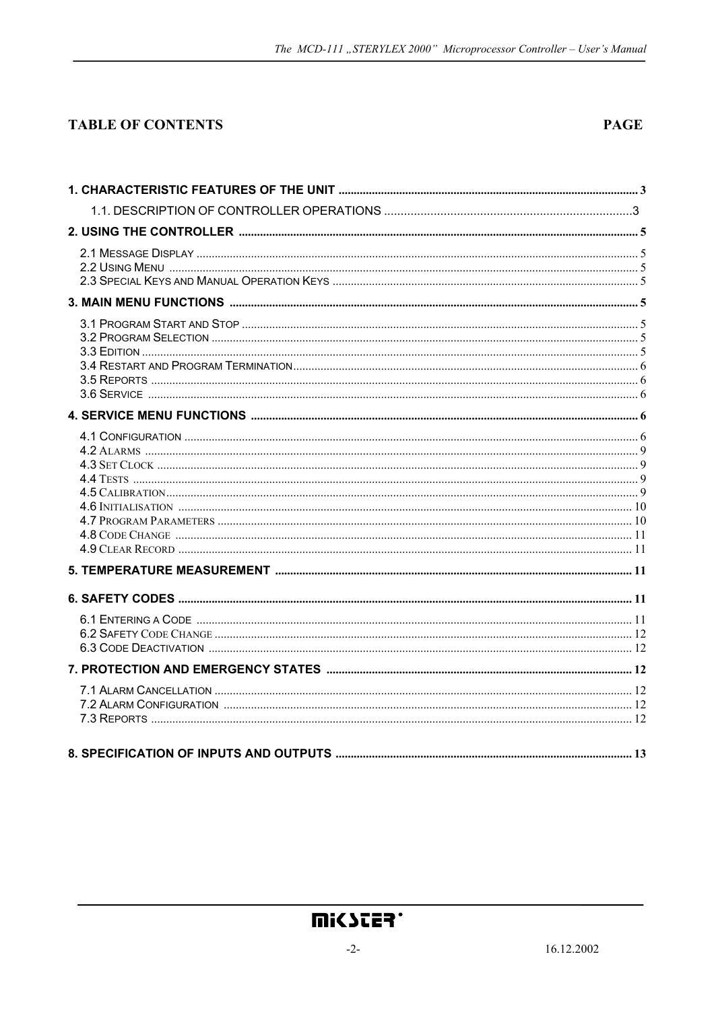### **TABLE OF CONTENTS**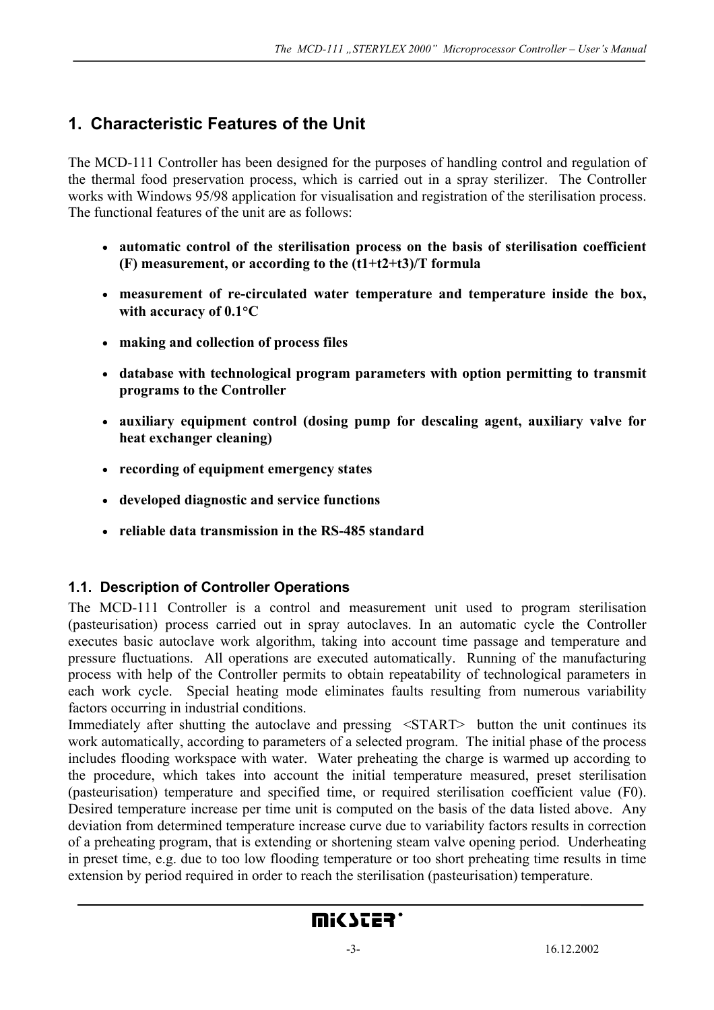# **1. Characteristic Features of the Unit**

The MCD-111 Controller has been designed for the purposes of handling control and regulation of the thermal food preservation process, which is carried out in a spray sterilizer. The Controller works with Windows 95/98 application for visualisation and registration of the sterilisation process. The functional features of the unit are as follows:

- **automatic control of the sterilisation process on the basis of sterilisation coefficient (F) measurement, or according to the (t1+t2+t3)/T formula**
- **measurement of re-circulated water temperature and temperature inside the box, with accuracy of 0.1**°**C**
- **making and collection of process files**
- **database with technological program parameters with option permitting to transmit programs to the Controller**
- **auxiliary equipment control (dosing pump for descaling agent, auxiliary valve for heat exchanger cleaning)**
- **recording of equipment emergency states**
- **developed diagnostic and service functions**
- **reliable data transmission in the RS-485 standard**

### **1.1. Description of Controller Operations**

The MCD-111 Controller is a control and measurement unit used to program sterilisation (pasteurisation) process carried out in spray autoclaves. In an automatic cycle the Controller executes basic autoclave work algorithm, taking into account time passage and temperature and pressure fluctuations. All operations are executed automatically. Running of the manufacturing process with help of the Controller permits to obtain repeatability of technological parameters in each work cycle. Special heating mode eliminates faults resulting from numerous variability factors occurring in industrial conditions.

Immediately after shutting the autoclave and pressing <START> button the unit continues its work automatically, according to parameters of a selected program. The initial phase of the process includes flooding workspace with water. Water preheating the charge is warmed up according to the procedure, which takes into account the initial temperature measured, preset sterilisation (pasteurisation) temperature and specified time, or required sterilisation coefficient value (F0). Desired temperature increase per time unit is computed on the basis of the data listed above. Any deviation from determined temperature increase curve due to variability factors results in correction of a preheating program, that is extending or shortening steam valve opening period. Underheating in preset time, e.g. due to too low flooding temperature or too short preheating time results in time extension by period required in order to reach the sterilisation (pasteurisation) temperature.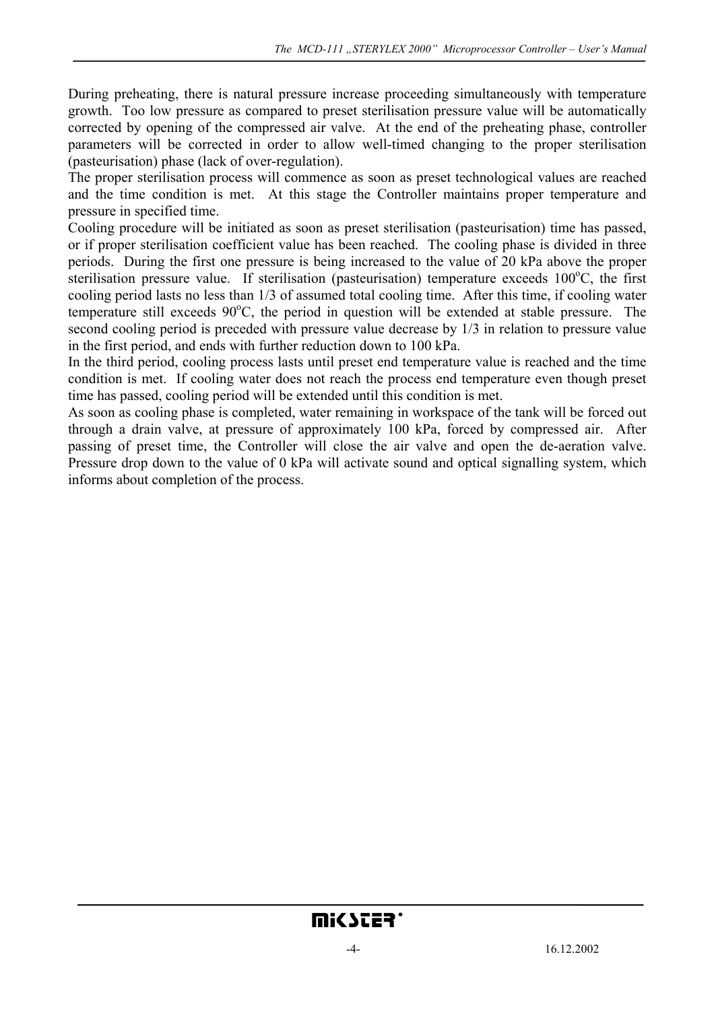During preheating, there is natural pressure increase proceeding simultaneously with temperature growth. Too low pressure as compared to preset sterilisation pressure value will be automatically corrected by opening of the compressed air valve. At the end of the preheating phase, controller parameters will be corrected in order to allow well-timed changing to the proper sterilisation (pasteurisation) phase (lack of over-regulation).

The proper sterilisation process will commence as soon as preset technological values are reached and the time condition is met. At this stage the Controller maintains proper temperature and pressure in specified time.

Cooling procedure will be initiated as soon as preset sterilisation (pasteurisation) time has passed, or if proper sterilisation coefficient value has been reached. The cooling phase is divided in three periods. During the first one pressure is being increased to the value of 20 kPa above the proper sterilisation pressure value. If sterilisation (pasteurisation) temperature exceeds 100°C, the first cooling period lasts no less than 1/3 of assumed total cooling time. After this time, if cooling water temperature still exceeds 90°C, the period in question will be extended at stable pressure. The second cooling period is preceded with pressure value decrease by 1/3 in relation to pressure value in the first period, and ends with further reduction down to 100 kPa.

In the third period, cooling process lasts until preset end temperature value is reached and the time condition is met. If cooling water does not reach the process end temperature even though preset time has passed, cooling period will be extended until this condition is met.

As soon as cooling phase is completed, water remaining in workspace of the tank will be forced out through a drain valve, at pressure of approximately 100 kPa, forced by compressed air. After passing of preset time, the Controller will close the air valve and open the de-aeration valve. Pressure drop down to the value of 0 kPa will activate sound and optical signalling system, which informs about completion of the process.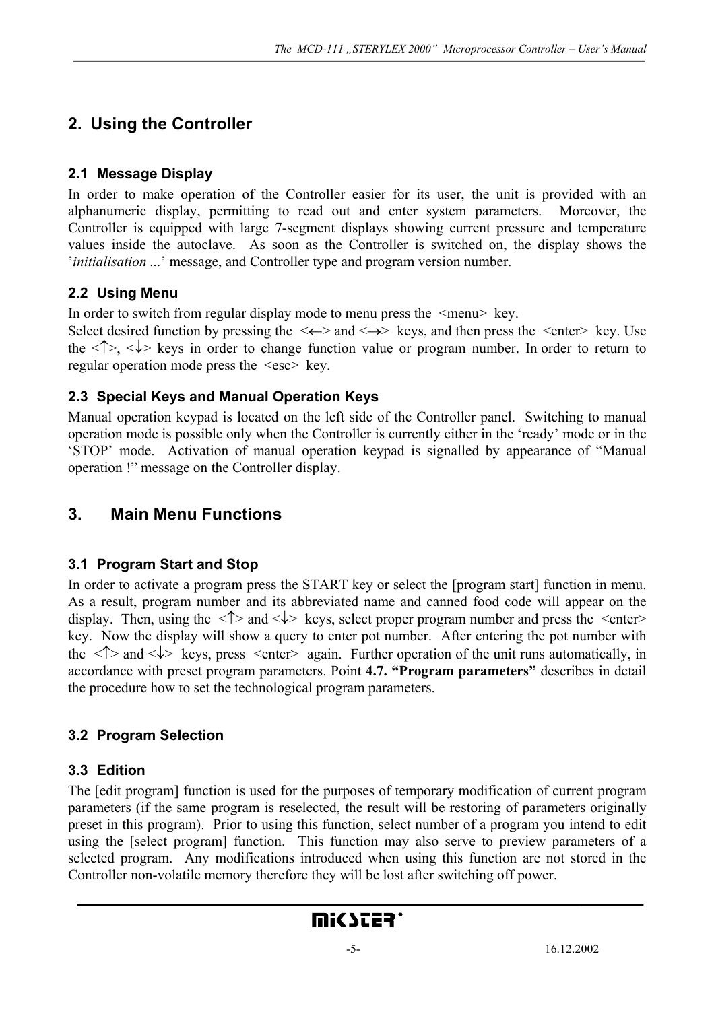# **2. Using the Controller**

### **2.1 Message Display**

In order to make operation of the Controller easier for its user, the unit is provided with an alphanumeric display, permitting to read out and enter system parameters. Moreover, the Controller is equipped with large 7-segment displays showing current pressure and temperature values inside the autoclave. As soon as the Controller is switched on, the display shows the '*initialisation ...*' message, and Controller type and program version number.

### **2.2 Using Menu**

In order to switch from regular display mode to menu press the  $\leq$ menu $\geq$ key.

Select desired function by pressing the  $\langle \leftarrow \rangle$  and  $\langle \rightarrow \rangle$  keys, and then press the  $\langle$ enter $\rangle$  key. Use the  $\langle \uparrow \rangle$ ,  $\langle \downarrow \rangle$  keys in order to change function value or program number. In order to return to regular operation mode press the  $\le$ esc $>$  key.

### **2.3 Special Keys and Manual Operation Keys**

Manual operation keypad is located on the left side of the Controller panel. Switching to manual operation mode is possible only when the Controller is currently either in the 'ready' mode or in the 'STOP' mode. Activation of manual operation keypad is signalled by appearance of "Manual operation !" message on the Controller display.

# **3. Main Menu Functions**

### **3.1 Program Start and Stop**

In order to activate a program press the START key or select the [program start] function in menu. As a result, program number and its abbreviated name and canned food code will appear on the display. Then, using the  $\langle \uparrow \rangle$  and  $\langle \downarrow \rangle$  keys, select proper program number and press the  $\langle$ enter $\rangle$ key. Now the display will show a query to enter pot number. After entering the pot number with the  $\langle \uparrow \rangle$  and  $\langle \downarrow \rangle$  keys, press  $\langle$ enter $\rangle$  again. Further operation of the unit runs automatically, in accordance with preset program parameters. Point **4.7. "Program parameters"** describes in detail the procedure how to set the technological program parameters.

## **3.2 Program Selection**

### **3.3 Edition**

The [edit program] function is used for the purposes of temporary modification of current program parameters (if the same program is reselected, the result will be restoring of parameters originally preset in this program). Prior to using this function, select number of a program you intend to edit using the [select program] function. This function may also serve to preview parameters of a selected program. Any modifications introduced when using this function are not stored in the Controller non-volatile memory therefore they will be lost after switching off power.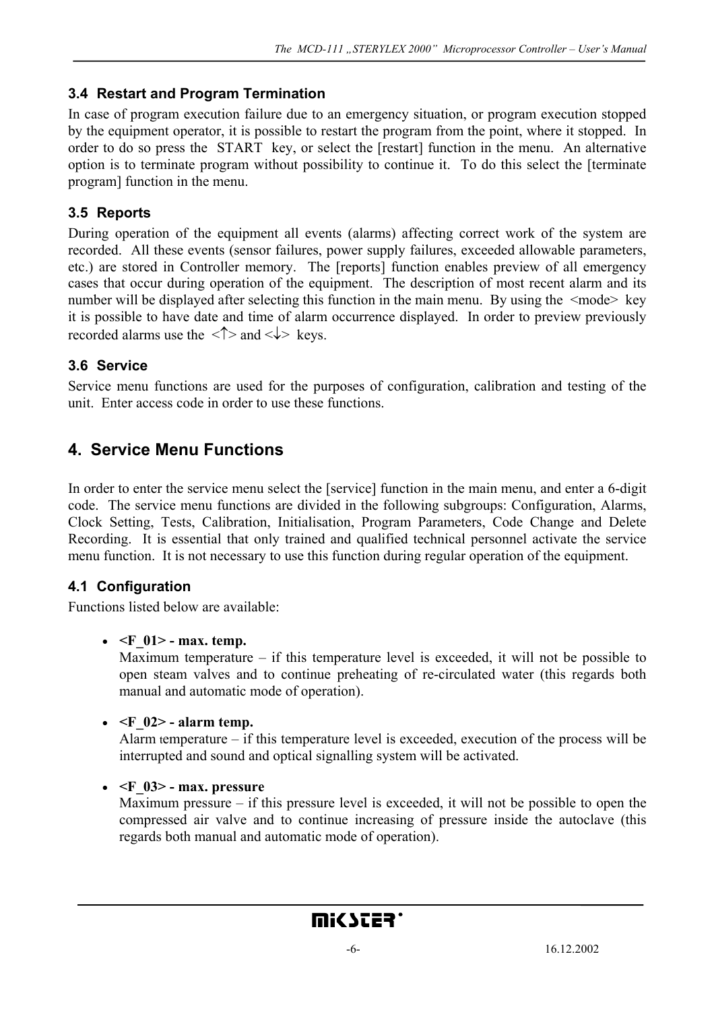#### **3.4 Restart and Program Termination**

In case of program execution failure due to an emergency situation, or program execution stopped by the equipment operator, it is possible to restart the program from the point, where it stopped. In order to do so press the START key, or select the [restart] function in the menu. An alternative option is to terminate program without possibility to continue it. To do this select the [terminate program] function in the menu.

### **3.5 Reports**

During operation of the equipment all events (alarms) affecting correct work of the system are recorded. All these events (sensor failures, power supply failures, exceeded allowable parameters, etc.) are stored in Controller memory. The [reports] function enables preview of all emergency cases that occur during operation of the equipment. The description of most recent alarm and its number will be displayed after selecting this function in the main menu. By using the  $\leq$ mode $\geq$  key it is possible to have date and time of alarm occurrence displayed. In order to preview previously recorded alarms use the  $\langle \uparrow \rangle$  and  $\langle \downarrow \rangle$  keys.

### **3.6 Service**

Service menu functions are used for the purposes of configuration, calibration and testing of the unit. Enter access code in order to use these functions.

## **4. Service Menu Functions**

In order to enter the service menu select the [service] function in the main menu, and enter a 6-digit code. The service menu functions are divided in the following subgroups: Configuration, Alarms, Clock Setting, Tests, Calibration, Initialisation, Program Parameters, Code Change and Delete Recording. It is essential that only trained and qualified technical personnel activate the service menu function. It is not necessary to use this function during regular operation of the equipment.

### **4.1 Configuration**

Functions listed below are available:

#### •  $\leq$ F 01> - max. temp.

Maximum temperature – if this temperature level is exceeded, it will not be possible to open steam valves and to continue preheating of re-circulated water (this regards both manual and automatic mode of operation).

#### $\bullet$   $\leq$   $\parallel$  02> - alarm temp.

Alarm temperature – if this temperature level is exceeded, execution of the process will be interrupted and sound and optical signalling system will be activated.

#### $\bullet$   $\leq$ F 03 $>$ - max. pressure

Maximum pressure – if this pressure level is exceeded, it will not be possible to open the compressed air valve and to continue increasing of pressure inside the autoclave (this regards both manual and automatic mode of operation).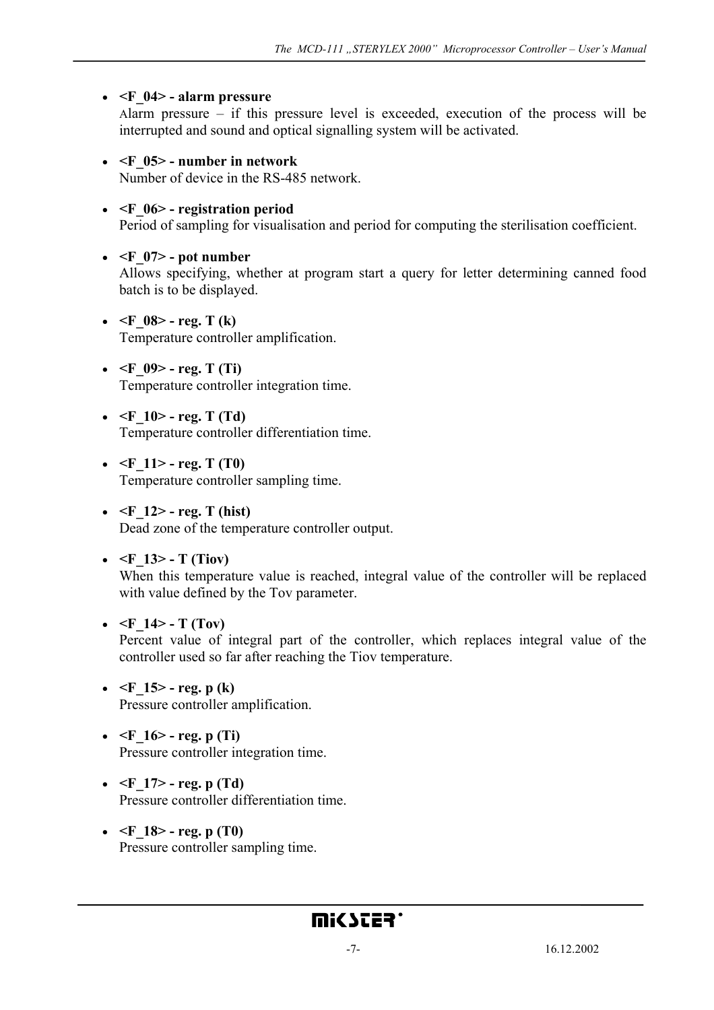#### • **<F\_04> - alarm pressure**

Alarm pressure – if this pressure level is exceeded, execution of the process will be interrupted and sound and optical signalling system will be activated.

- **<F\_05> number in network**  Number of device in the RS-485 network.
- **<F\_06> registration period** Period of sampling for visualisation and period for computing the sterilisation coefficient.

#### $\bullet$   $\leq$ F 07> - pot number

Allows specifying, whether at program start a query for letter determining canned food batch is to be displayed.

- $\leq$ F 08> reg. T (k) Temperature controller amplification.
- $\leq$ F 09> reg. T (Ti) Temperature controller integration time.
- $\leq$ F 10 $>$  reg. T (Td) Temperature controller differentiation time.
- $\leq$ F 11> reg. T (T0) Temperature controller sampling time.
- $\leq$ F 12> reg. T (hist) Dead zone of the temperature controller output.

#### •  $\leq$ F 13> - T (Tiov)

When this temperature value is reached, integral value of the controller will be replaced with value defined by the Tov parameter.

•  $\leq$ F 14> - T (Tov)

Percent value of integral part of the controller, which replaces integral value of the controller used so far after reaching the Tiov temperature.

- $\leq$ F 15> reg. p (k) Pressure controller amplification.
- $\leq$ F 16> reg. p (Ti) Pressure controller integration time.
- $\leq$ F 17> reg. p (Td) Pressure controller differentiation time.
- $\leq$ F 18> reg. p (T0) Pressure controller sampling time.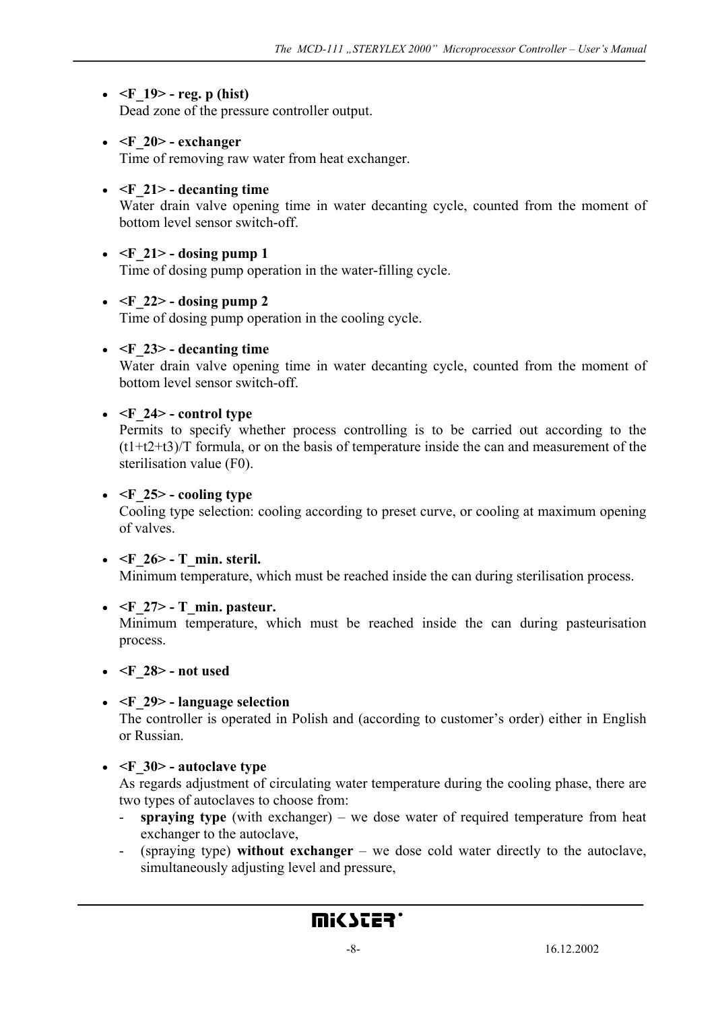### •  $\leq$ F 19> - reg. p (hist)

Dead zone of the pressure controller output.

• **<F\_20> - exchanger**

Time of removing raw water from heat exchanger.

#### $\bullet$   $\leq$  F 21 $>$  - decanting time

Water drain valve opening time in water decanting cycle, counted from the moment of bottom level sensor switch-off.

#### $\bullet$  <F 21> - dosing pump 1

Time of dosing pump operation in the water-filling cycle.

#### $\bullet$  <F 22> - dosing pump 2

Time of dosing pump operation in the cooling cycle.

#### $\bullet$   $\leq$ F 23 $>$  - decanting time

Water drain valve opening time in water decanting cycle, counted from the moment of bottom level sensor switch-off.

#### $\bullet$   $\leq$ F 24 $>$  - control type

Permits to specify whether process controlling is to be carried out according to the (t1+t2+t3)/T formula, or on the basis of temperature inside the can and measurement of the sterilisation value (F0).

#### $\bullet$   $\leq$ F 25 $>$  - cooling type

Cooling type selection: cooling according to preset curve, or cooling at maximum opening of valves.

#### • **<F\_26> - T\_min. steril.**

Minimum temperature, which must be reached inside the can during sterilisation process.

#### •  $\leq$ F 27> - T min. pasteur.

Minimum temperature, which must be reached inside the can during pasteurisation process.

#### • **<F\_28> - not used**

#### • **<F\_29> - language selection**

The controller is operated in Polish and (according to customer's order) either in English or Russian.

#### • **<F\_30> - autoclave type**

As regards adjustment of circulating water temperature during the cooling phase, there are two types of autoclaves to choose from:

- **spraying type** (with exchanger) we dose water of required temperature from heat exchanger to the autoclave,
- (spraying type) **without exchanger** we dose cold water directly to the autoclave, simultaneously adjusting level and pressure,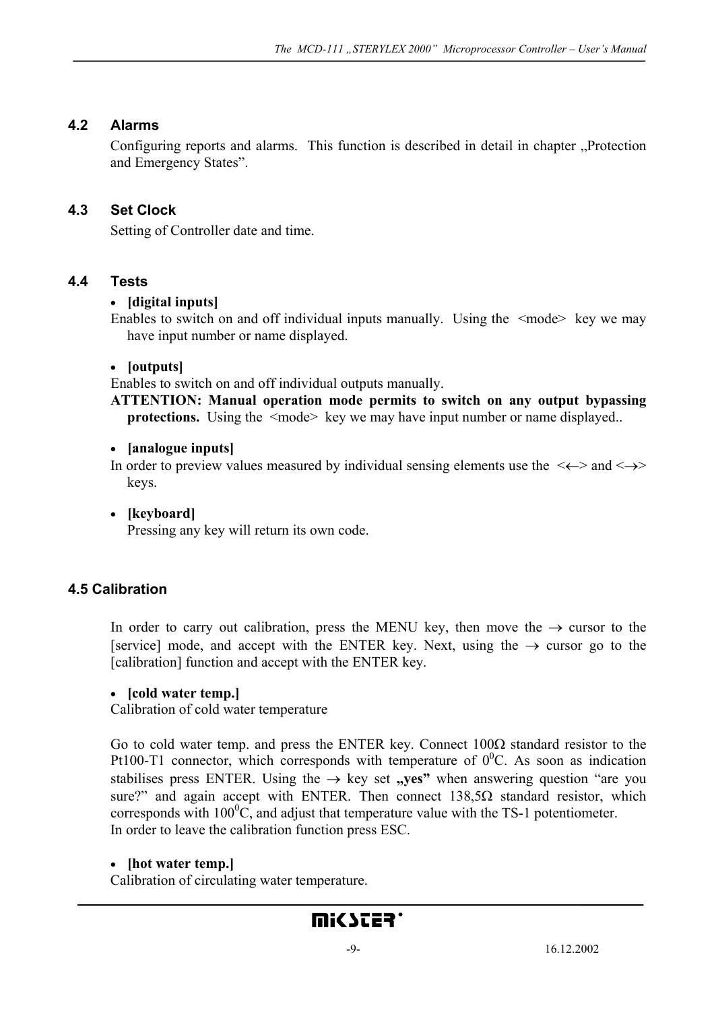### **4.2 Alarms**

Configuring reports and alarms. This function is described in detail in chapter "Protection and Emergency States".

### **4.3 Set Clock**

Setting of Controller date and time.

### **4.4 Tests**

#### • **[digital inputs]**

Enables to switch on and off individual inputs manually. Using the  $\leq$  mode  $\geq$  key we may have input number or name displayed.

#### • **[outputs]**

Enables to switch on and off individual outputs manually.

**ATTENTION: Manual operation mode permits to switch on any output bypassing protections.** Using the  $\leq$ mode> key we may have input number or name displayed..

#### • **[analogue inputs]**

In order to preview values measured by individual sensing elements use the  $\langle\leftarrow\rangle$  and  $\langle\rightarrow\rangle$ keys.

• **[keyboard]**

Pressing any key will return its own code.

#### **4.5 Calibration**

In order to carry out calibration, press the MENU key, then move the  $\rightarrow$  cursor to the [service] mode, and accept with the ENTER key. Next, using the  $\rightarrow$  cursor go to the [calibration] function and accept with the ENTER key.

#### • **[cold water temp.]**

Calibration of cold water temperature

Go to cold water temp. and press the ENTER key. Connect  $100\Omega$  standard resistor to the Pt100-T1 connector, which corresponds with temperature of  $0^0$ C. As soon as indication stabilises press ENTER. Using the  $\rightarrow$  key set "yes" when answering question "are you sure?" and again accept with ENTER. Then connect  $138,5\Omega$  standard resistor, which corresponds with  $100^{\circ}$ C, and adjust that temperature value with the TS-1 potentiometer. In order to leave the calibration function press ESC.

#### • **[hot water temp.]**

Calibration of circulating water temperature.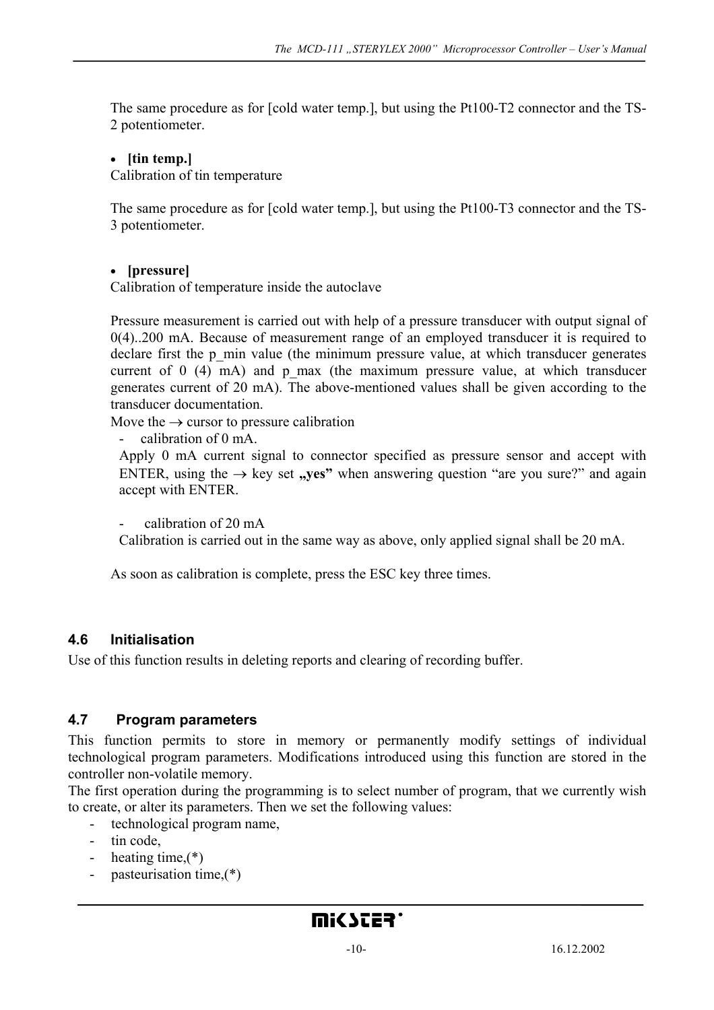The same procedure as for [cold water temp.], but using the Pt100-T2 connector and the TS-2 potentiometer.

#### • **[tin temp.]**

Calibration of tin temperature

The same procedure as for [cold water temp.], but using the Pt100-T3 connector and the TS-3 potentiometer.

#### • **[pressure]**

Calibration of temperature inside the autoclave

Pressure measurement is carried out with help of a pressure transducer with output signal of 0(4)..200 mA. Because of measurement range of an employed transducer it is required to declare first the p\_min value (the minimum pressure value, at which transducer generates current of  $0$  (4) mA) and p\_max (the maximum pressure value, at which transducer generates current of 20 mA). The above-mentioned values shall be given according to the transducer documentation.

Move the  $\rightarrow$  cursor to pressure calibration

calibration of 0 mA.

Apply 0 mA current signal to connector specified as pressure sensor and accept with ENTER, using the  $\rightarrow$  key set "yes" when answering question "are you sure?" and again accept with ENTER.

calibration of 20 mA

Calibration is carried out in the same way as above, only applied signal shall be 20 mA.

As soon as calibration is complete, press the ESC key three times.

#### **4.6 Initialisation**

Use of this function results in deleting reports and clearing of recording buffer.

#### **4.7 Program parameters**

This function permits to store in memory or permanently modify settings of individual technological program parameters. Modifications introduced using this function are stored in the controller non-volatile memory.

The first operation during the programming is to select number of program, that we currently wish to create, or alter its parameters. Then we set the following values:

- technological program name,
- tin code,
- heating time, (\*)
- pasteurisation time. $(*)$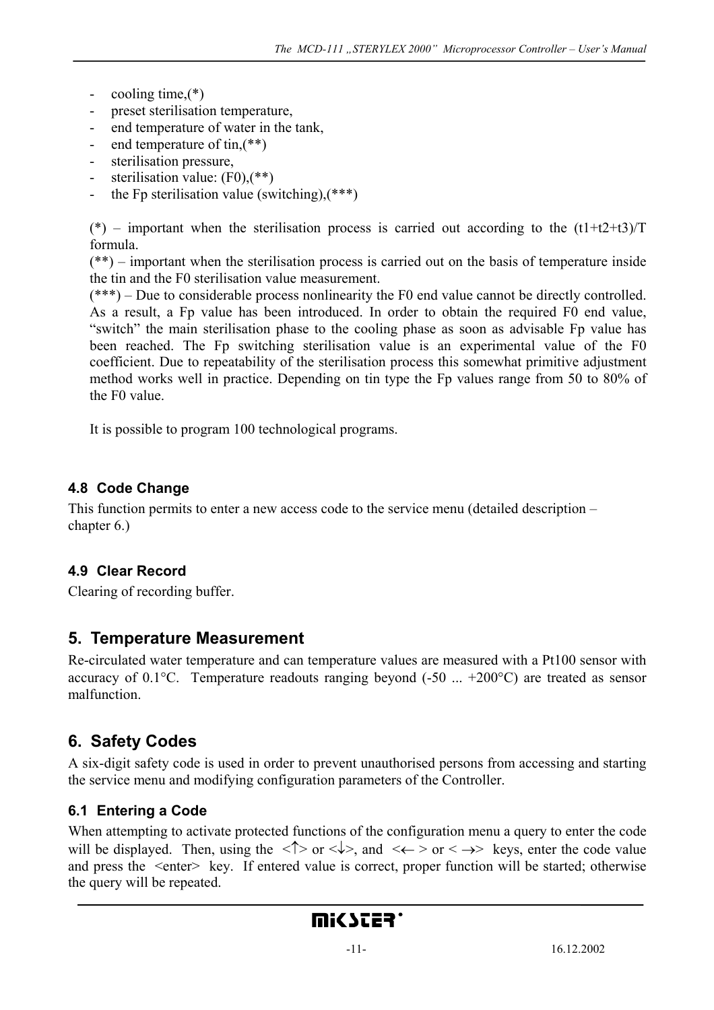- cooling time, $(*)$
- preset sterilisation temperature,
- end temperature of water in the tank,
- end temperature of tin, $(**)$
- sterilisation pressure,
- sterilisation value:  $(F0)$ ,  $(**)$
- the Fp sterilisation value (switching), $(***)$

(\*) – important when the sterilisation process is carried out according to the  $(t1+t2+t3)/T$ formula.

(\*\*) – important when the sterilisation process is carried out on the basis of temperature inside the tin and the F0 sterilisation value measurement.

(\*\*\*) – Due to considerable process nonlinearity the F0 end value cannot be directly controlled. As a result, a Fp value has been introduced. In order to obtain the required F0 end value, "switch" the main sterilisation phase to the cooling phase as soon as advisable Fp value has been reached. The Fp switching sterilisation value is an experimental value of the F0 coefficient. Due to repeatability of the sterilisation process this somewhat primitive adjustment method works well in practice. Depending on tin type the Fp values range from 50 to 80% of the F0 value.

It is possible to program 100 technological programs.

### **4.8 Code Change**

This function permits to enter a new access code to the service menu (detailed description – chapter 6.)

### **4.9 Clear Record**

Clearing of recording buffer.

### **5. Temperature Measurement**

Re-circulated water temperature and can temperature values are measured with a Pt100 sensor with accuracy of 0.1 $^{\circ}$ C. Temperature readouts ranging beyond (-50 ... +200 $^{\circ}$ C) are treated as sensor malfunction.

# **6. Safety Codes**

A six-digit safety code is used in order to prevent unauthorised persons from accessing and starting the service menu and modifying configuration parameters of the Controller.

### **6.1 Entering a Code**

When attempting to activate protected functions of the configuration menu a query to enter the code will be displayed. Then, using the  $\langle \uparrow \rangle$  or  $\langle \downarrow \rangle$ , and  $\langle \leftarrow \rangle$  or  $\langle \rightarrow \rangle$  keys, enter the code value and press the  $\le$ enter $\ge$ key. If entered value is correct, proper function will be started; otherwise the query will be repeated.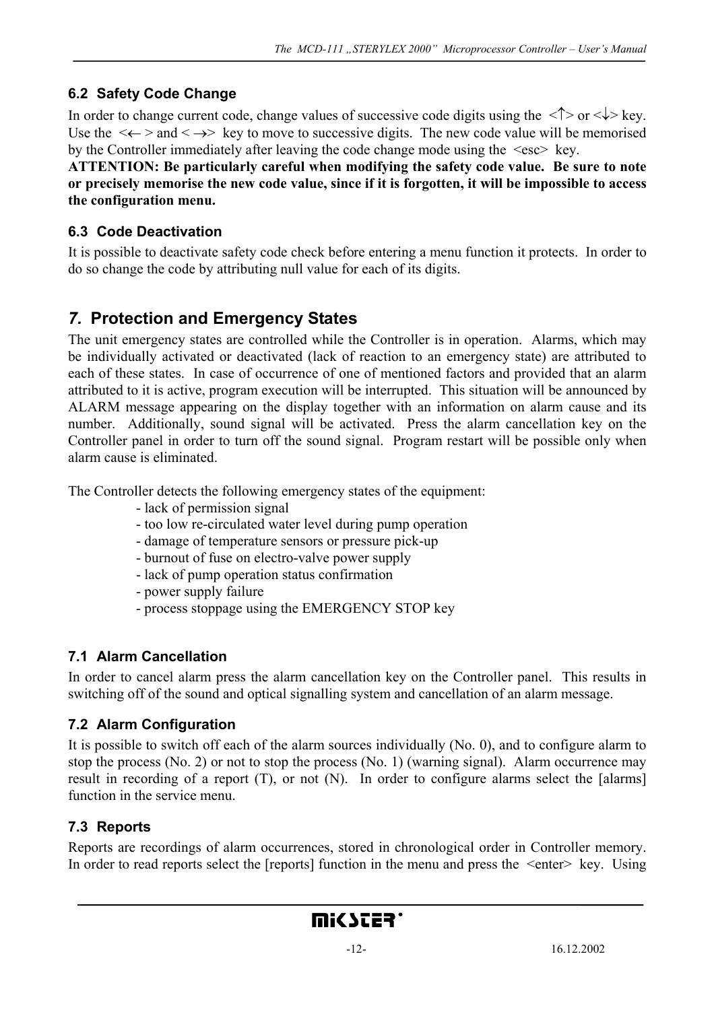### **6.2 Safety Code Change**

In order to change current code, change values of successive code digits using the  $\langle \uparrow \rangle$  or  $\langle \downarrow \rangle$  key. Use the  $\langle\leftarrow\rangle$  and  $\langle\rightarrow\rangle$  key to move to successive digits. The new code value will be memorised by the Controller immediately after leaving the code change mode using the <esc> key.

**ATTENTION: Be particularly careful when modifying the safety code value. Be sure to note or precisely memorise the new code value, since if it is forgotten, it will be impossible to access the configuration menu.** 

### **6.3 Code Deactivation**

It is possible to deactivate safety code check before entering a menu function it protects. In order to do so change the code by attributing null value for each of its digits.

# *7.* **Protection and Emergency States**

The unit emergency states are controlled while the Controller is in operation. Alarms, which may be individually activated or deactivated (lack of reaction to an emergency state) are attributed to each of these states. In case of occurrence of one of mentioned factors and provided that an alarm attributed to it is active, program execution will be interrupted. This situation will be announced by ALARM message appearing on the display together with an information on alarm cause and its number. Additionally, sound signal will be activated. Press the alarm cancellation key on the Controller panel in order to turn off the sound signal. Program restart will be possible only when alarm cause is eliminated.

The Controller detects the following emergency states of the equipment:

- lack of permission signal
- too low re-circulated water level during pump operation
- damage of temperature sensors or pressure pick-up
- burnout of fuse on electro-valve power supply
- lack of pump operation status confirmation
- power supply failure
- process stoppage using the EMERGENCY STOP key

### **7.1 Alarm Cancellation**

In order to cancel alarm press the alarm cancellation key on the Controller panel. This results in switching off of the sound and optical signalling system and cancellation of an alarm message.

### **7.2 Alarm Configuration**

It is possible to switch off each of the alarm sources individually (No. 0), and to configure alarm to stop the process (No. 2) or not to stop the process (No. 1) (warning signal). Alarm occurrence may result in recording of a report (T), or not (N). In order to configure alarms select the [alarms] function in the service menu.

### **7.3 Reports**

Reports are recordings of alarm occurrences, stored in chronological order in Controller memory. In order to read reports select the [reports] function in the menu and press the  $\leq$ enter $\geq$  key. Using